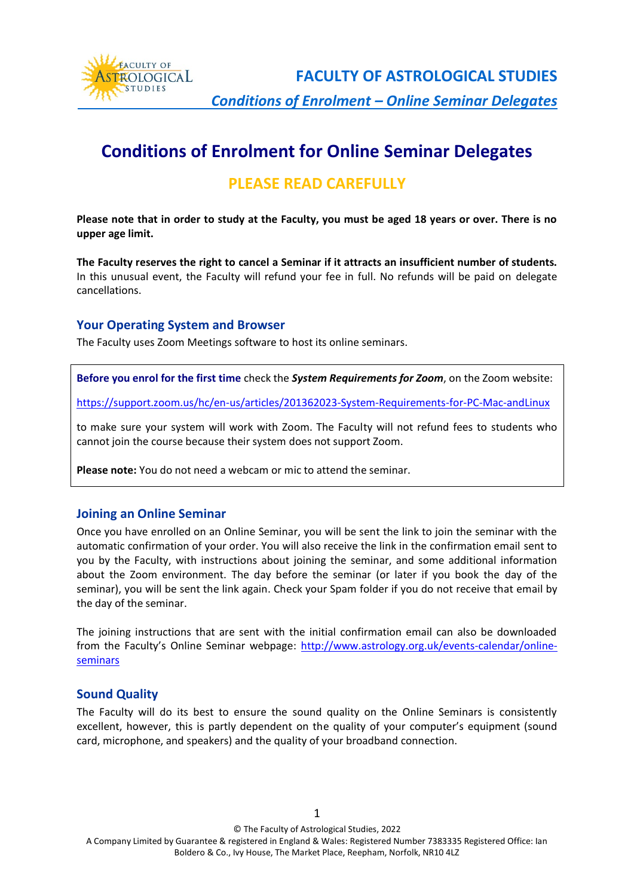

**FACULTY OF ASTROLOGICAL STUDIES**

 *Conditions of Enrolment – Online Seminar Delegates*

# **Conditions of Enrolment for Online Seminar Delegates**

# **PLEASE READ CAREFULLY**

**Please note that in order to study at the Faculty, you must be aged 18 years or over. There is no upper age limit.**

**The Faculty reserves the right to cancel a Seminar if it attracts an insufficient number of students.** In this unusual event, the Faculty will refund your fee in full. No refunds will be paid on delegate cancellations.

# **Your Operating System and Browser**

The Faculty uses Zoom Meetings software to host its online seminars.

**Before you enrol for the first time** check the *System Requirements for Zoom*, on the Zoom website:

<https://support.zoom.us/hc/en-us/articles/201362023-System-Requirements-for-PC-Mac-andLinux>

to make sure your system will work with Zoom. The Faculty will not refund fees to students who cannot join the course because their system does not support Zoom.

**Please note:** You do not need a webcam or mic to attend the seminar.

### **Joining an Online Seminar**

Once you have enrolled on an Online Seminar, you will be sent the link to join the seminar with the automatic confirmation of your order. You will also receive the link in the confirmation email sent to you by the Faculty, with instructions about joining the seminar, and some additional information about the Zoom environment. The day before the seminar (or later if you book the day of the seminar), you will be sent the link again. Check your Spam folder if you do not receive that email by the day of the seminar.

The joining instructions that are sent with the initial confirmation email can also be downloaded from the Faculty's Online Seminar webpage: [http://www.astrology.org.uk/events-calendar/online](http://www.astrology.org.uk/events-calendar/online-seminars/)[seminars](http://www.astrology.org.uk/events-calendar/online-seminars/)

### **Sound Quality**

The Faculty will do its best to ensure the sound quality on the Online Seminars is consistently excellent, however, this is partly dependent on the quality of your computer's equipment (sound card, microphone, and speakers) and the quality of your broadband connection.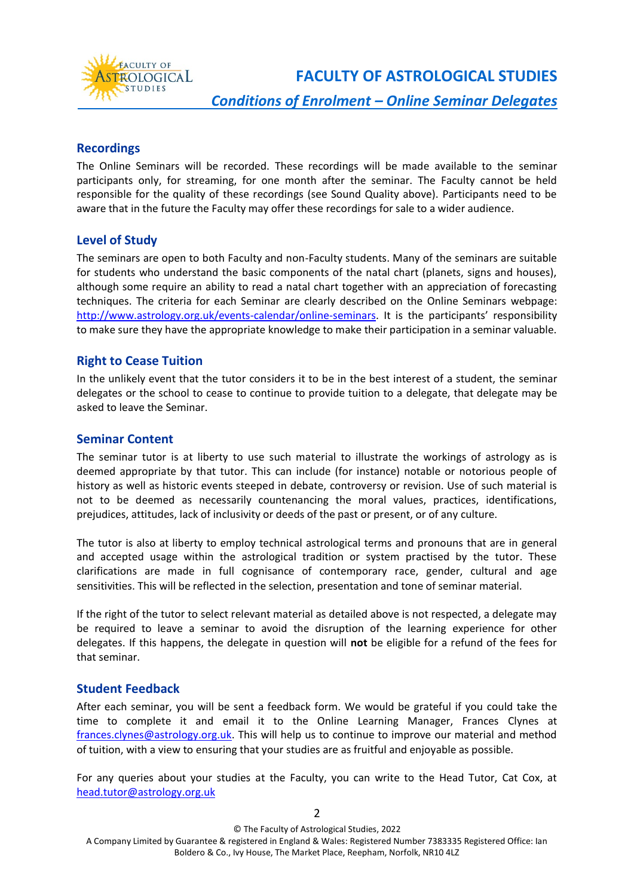

**FACULTY OF ASTROLOGICAL STUDIES**

 *Conditions of Enrolment – Online Seminar Delegates*

# **Recordings**

The Online Seminars will be recorded. These recordings will be made available to the seminar participants only, for streaming, for one month after the seminar. The Faculty cannot be held responsible for the quality of these recordings (see Sound Quality above). Participants need to be aware that in the future the Faculty may offer these recordings for sale to a wider audience.

# **Level of Study**

The seminars are open to both Faculty and non-Faculty students. Many of the seminars are suitable for students who understand the basic components of the natal chart (planets, signs and houses), although some require an ability to read a natal chart together with an appreciation of forecasting techniques. The criteria for each Seminar are clearly described on the Online Seminars webpage: [http://www.astrology.org.uk/events-calendar/online-seminars.](http://www.astrology.org.uk/events-calendar/online-seminars/) It is the participants' responsibility to make sure they have the appropriate knowledge to make their participation in a seminar valuable.

### **Right to Cease Tuition**

In the unlikely event that the tutor considers it to be in the best interest of a student, the seminar delegates or the school to cease to continue to provide tuition to a delegate, that delegate may be asked to leave the Seminar.

### **Seminar Content**

The seminar tutor is at liberty to use such material to illustrate the workings of astrology as is deemed appropriate by that tutor. This can include (for instance) notable or notorious people of history as well as historic events steeped in debate, controversy or revision. Use of such material is not to be deemed as necessarily countenancing the moral values, practices, identifications, prejudices, attitudes, lack of inclusivity or deeds of the past or present, or of any culture.

The tutor is also at liberty to employ technical astrological terms and pronouns that are in general and accepted usage within the astrological tradition or system practised by the tutor. These clarifications are made in full cognisance of contemporary race, gender, cultural and age sensitivities. This will be reflected in the selection, presentation and tone of seminar material.

If the right of the tutor to select relevant material as detailed above is not respected, a delegate may be required to leave a seminar to avoid the disruption of the learning experience for other delegates. If this happens, the delegate in question will **not** be eligible for a refund of the fees for that seminar.

### **Student Feedback**

After each seminar, you will be sent a feedback form. We would be grateful if you could take the time to complete it and email it to the Online Learning Manager, Frances Clynes at [frances.clynes@astrology.org.uk.](mailto:frances.clynes@astrology.org.uk) This will help us to continue to improve our material and method of tuition, with a view to ensuring that your studies are as fruitful and enjoyable as possible.

For any queries about your studies at the Faculty, you can write to the Head Tutor, Cat Cox, at [head.tutor@astrology.org.uk](mailto:head.tutor@astrology.org.uk)